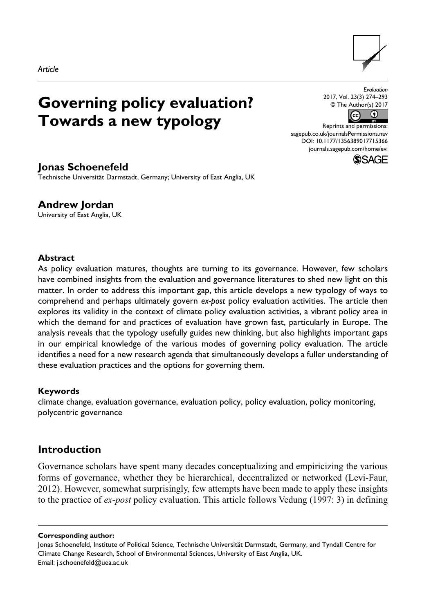

# **Governing policy evaluation? Towards a new typology**



Reprints and permissions: [sagepub.co.uk/journalsPermissions.nav](https://uk.sagepub.com/en-gb/journals-permissions) DOI: 10.1177/1356389017715366 [journals.sagepub.com/home/evi](https://journals.sagepub.com/home/evi) **SSAGE** 

# **Jonas Schoenefeld**

Technische Universität Darmstadt, Germany; University of East Anglia, UK

**Andrew Jordan** University of East Anglia, UK

#### **Abstract**

As policy evaluation matures, thoughts are turning to its governance. However, few scholars have combined insights from the evaluation and governance literatures to shed new light on this matter. In order to address this important gap, this article develops a new typology of ways to comprehend and perhaps ultimately govern *ex-post* policy evaluation activities. The article then explores its validity in the context of climate policy evaluation activities, a vibrant policy area in which the demand for and practices of evaluation have grown fast, particularly in Europe. The analysis reveals that the typology usefully guides new thinking, but also highlights important gaps in our empirical knowledge of the various modes of governing policy evaluation. The article identifies a need for a new research agenda that simultaneously develops a fuller understanding of these evaluation practices and the options for governing them.

#### **Keywords**

climate change, evaluation governance, evaluation policy, policy evaluation, policy monitoring, polycentric governance

# **Introduction**

Governance scholars have spent many decades conceptualizing and empiricizing the various forms of governance, whether they be hierarchical, decentralized or networked (Levi-Faur, 2012). However, somewhat surprisingly, few attempts have been made to apply these insights to the practice of *ex-post* policy evaluation. This article follows Vedung (1997: 3) in defining

**Corresponding author:**

Jonas Schoenefeld, Institute of Political Science, Technische Universität Darmstadt, Germany, and Tyndall Centre for Climate Change Research, School of Environmental Sciences, University of East Anglia, UK. Email: [j.schoenefeld@uea.ac.uk](mailto:j.schoenefeld@uea.ac.uk)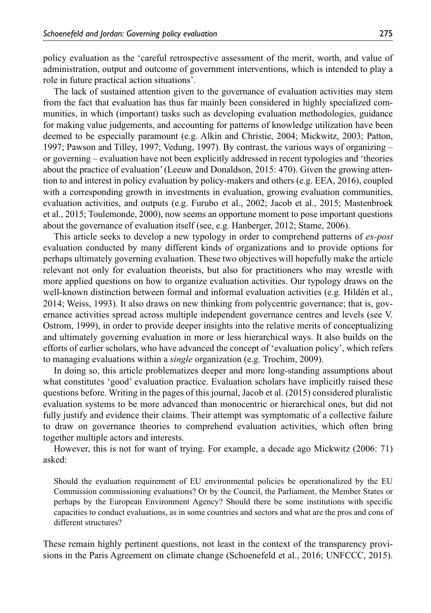policy evaluation as the 'careful retrospective assessment of the merit, worth, and value of administration, output and outcome of government interventions, which is intended to play a role in future practical action situations'.

The lack of sustained attention given to the governance of evaluation activities may stem from the fact that evaluation has thus far mainly been considered in highly specialized communities, in which (important) tasks such as developing evaluation methodologies, guidance for making value judgements, and accounting for patterns of knowledge utilization have been deemed to be especially paramount (e.g. Alkin and Christie, 2004; Mickwitz, 2003; Patton, 1997; Pawson and Tilley, 1997; Vedung, 1997). By contrast, the various ways of organizing – or governing – evaluation have not been explicitly addressed in recent typologies and 'theories about the practice of evaluation' (Leeuw and Donaldson, 2015: 470). Given the growing attention to and interest in policy evaluation by policy-makers and others (e.g. EEA, 2016), coupled with a corresponding growth in investments in evaluation, growing evaluation communities, evaluation activities, and outputs (e.g. Furubo et al., 2002; Jacob et al., 2015; Mastenbroek et al., 2015; Toulemonde, 2000), now seems an opportune moment to pose important questions about the governance of evaluation itself (see, e.g. Hanberger, 2012; Stame, 2006).

This article seeks to develop a new typology in order to comprehend patterns of *ex-post* evaluation conducted by many different kinds of organizations and to provide options for perhaps ultimately governing evaluation. These two objectives will hopefully make the article relevant not only for evaluation theorists, but also for practitioners who may wrestle with more applied questions on how to organize evaluation activities. Our typology draws on the well-known distinction between formal and informal evaluation activities (e.g. Hildén et al., 2014; Weiss, 1993). It also draws on new thinking from polycentric governance; that is, governance activities spread across multiple independent governance centres and levels (see V. Ostrom, 1999), in order to provide deeper insights into the relative merits of conceptualizing and ultimately governing evaluation in more or less hierarchical ways. It also builds on the efforts of earlier scholars, who have advanced the concept of 'evaluation policy', which refers to managing evaluations within a *single* organization (e.g. Trochim, 2009).

In doing so, this article problematizes deeper and more long-standing assumptions about what constitutes 'good' evaluation practice. Evaluation scholars have implicitly raised these questions before. Writing in the pages of this journal, Jacob et al. (2015) considered pluralistic evaluation systems to be more advanced than monocentric or hierarchical ones, but did not fully justify and evidence their claims. Their attempt was symptomatic of a collective failure to draw on governance theories to comprehend evaluation activities, which often bring together multiple actors and interests.

However, this is not for want of trying. For example, a decade ago Mickwitz (2006: 71) asked:

Should the evaluation requirement of EU environmental policies be operationalized by the EU Commission commissioning evaluations? Or by the Council, the Parliament, the Member States or perhaps by the European Environment Agency? Should there be some institutions with specific capacities to conduct evaluations, as in some countries and sectors and what are the pros and cons of different structures?

These remain highly pertinent questions, not least in the context of the transparency provisions in the Paris Agreement on climate change (Schoenefeld et al., 2016; UNFCCC, 2015).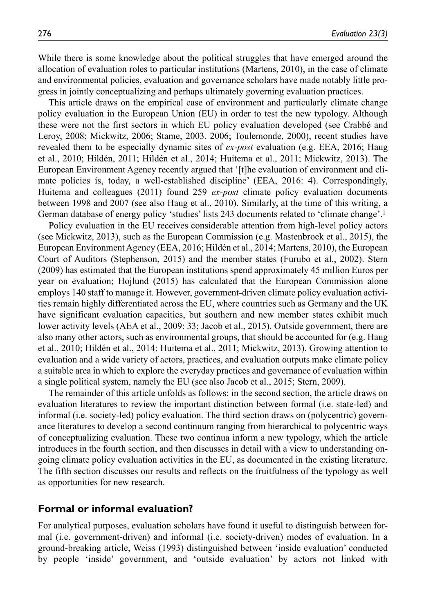While there is some knowledge about the political struggles that have emerged around the allocation of evaluation roles to particular institutions (Martens, 2010), in the case of climate and environmental policies, evaluation and governance scholars have made notably little progress in jointly conceptualizing and perhaps ultimately governing evaluation practices.

This article draws on the empirical case of environment and particularly climate change policy evaluation in the European Union (EU) in order to test the new typology. Although these were not the first sectors in which EU policy evaluation developed (see Crabbé and Leroy, 2008; Mickwitz, 2006; Stame, 2003, 2006; Toulemonde, 2000), recent studies have revealed them to be especially dynamic sites of *ex-post* evaluation (e.g. EEA, 2016; Haug et al., 2010; Hildén, 2011; Hildén et al., 2014; Huitema et al., 2011; Mickwitz, 2013). The European Environment Agency recently argued that '[t]he evaluation of environment and climate policies is, today, a well-established discipline' (EEA, 2016: 4). Correspondingly, Huitema and colleagues (2011) found 259 *ex-post* climate policy evaluation documents between 1998 and 2007 (see also Haug et al., 2010). Similarly, at the time of this writing, a German database of energy policy 'studies' lists 243 documents related to 'climate change'.<sup>1</sup>

Policy evaluation in the EU receives considerable attention from high-level policy actors (see Mickwitz, 2013), such as the European Commission (e.g. Mastenbroek et al., 2015), the European Environment Agency (EEA, 2016; Hildén et al., 2014; Martens, 2010), the European Court of Auditors (Stephenson, 2015) and the member states (Furubo et al., 2002). Stern (2009) has estimated that the European institutions spend approximately 45 million Euros per year on evaluation; Hojlund (2015) has calculated that the European Commission alone employs 140 staff to manage it. However, government-driven climate policy evaluation activities remain highly differentiated across the EU, where countries such as Germany and the UK have significant evaluation capacities, but southern and new member states exhibit much lower activity levels (AEA et al., 2009: 33; Jacob et al., 2015). Outside government, there are also many other actors, such as environmental groups, that should be accounted for (e.g. Haug et al., 2010; Hildén et al., 2014; Huitema et al., 2011; Mickwitz, 2013). Growing attention to evaluation and a wide variety of actors, practices, and evaluation outputs make climate policy a suitable area in which to explore the everyday practices and governance of evaluation within a single political system, namely the EU (see also Jacob et al., 2015; Stern, 2009).

The remainder of this article unfolds as follows: in the second section, the article draws on evaluation literatures to review the important distinction between formal (i.e. state-led) and informal (i.e. society-led) policy evaluation. The third section draws on (polycentric) governance literatures to develop a second continuum ranging from hierarchical to polycentric ways of conceptualizing evaluation. These two continua inform a new typology, which the article introduces in the fourth section, and then discusses in detail with a view to understanding ongoing climate policy evaluation activities in the EU, as documented in the existing literature. The fifth section discusses our results and reflects on the fruitfulness of the typology as well as opportunities for new research.

## **Formal or informal evaluation?**

For analytical purposes, evaluation scholars have found it useful to distinguish between formal (i.e. government-driven) and informal (i.e. society-driven) modes of evaluation. In a ground-breaking article, Weiss (1993) distinguished between 'inside evaluation' conducted by people 'inside' government, and 'outside evaluation' by actors not linked with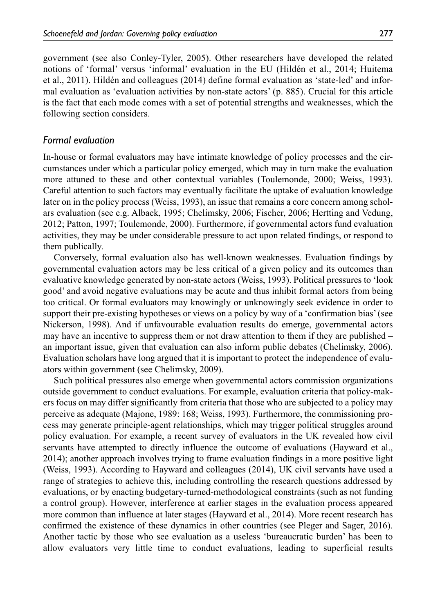government (see also Conley-Tyler, 2005). Other researchers have developed the related notions of 'formal' versus 'informal' evaluation in the EU (Hildén et al., 2014; Huitema et al., 2011). Hildén and colleagues (2014) define formal evaluation as 'state-led' and informal evaluation as 'evaluation activities by non-state actors' (p. 885). Crucial for this article is the fact that each mode comes with a set of potential strengths and weaknesses, which the following section considers.

#### *Formal evaluation*

In-house or formal evaluators may have intimate knowledge of policy processes and the circumstances under which a particular policy emerged, which may in turn make the evaluation more attuned to these and other contextual variables (Toulemonde, 2000; Weiss, 1993). Careful attention to such factors may eventually facilitate the uptake of evaluation knowledge later on in the policy process (Weiss, 1993), an issue that remains a core concern among scholars evaluation (see e.g. Albaek, 1995; Chelimsky, 2006; Fischer, 2006; Hertting and Vedung, 2012; Patton, 1997; Toulemonde, 2000). Furthermore, if governmental actors fund evaluation activities, they may be under considerable pressure to act upon related findings, or respond to them publically.

Conversely, formal evaluation also has well-known weaknesses. Evaluation findings by governmental evaluation actors may be less critical of a given policy and its outcomes than evaluative knowledge generated by non-state actors (Weiss, 1993). Political pressures to 'look good' and avoid negative evaluations may be acute and thus inhibit formal actors from being too critical. Or formal evaluators may knowingly or unknowingly seek evidence in order to support their pre-existing hypotheses or views on a policy by way of a 'confirmation bias' (see Nickerson, 1998). And if unfavourable evaluation results do emerge, governmental actors may have an incentive to suppress them or not draw attention to them if they are published – an important issue, given that evaluation can also inform public debates (Chelimsky, 2006). Evaluation scholars have long argued that it is important to protect the independence of evaluators within government (see Chelimsky, 2009).

Such political pressures also emerge when governmental actors commission organizations outside government to conduct evaluations. For example, evaluation criteria that policy-makers focus on may differ significantly from criteria that those who are subjected to a policy may perceive as adequate (Majone, 1989: 168; Weiss, 1993). Furthermore, the commissioning process may generate principle-agent relationships, which may trigger political struggles around policy evaluation. For example, a recent survey of evaluators in the UK revealed how civil servants have attempted to directly influence the outcome of evaluations (Hayward et al., 2014); another approach involves trying to frame evaluation findings in a more positive light (Weiss, 1993). According to Hayward and colleagues (2014), UK civil servants have used a range of strategies to achieve this, including controlling the research questions addressed by evaluations, or by enacting budgetary-turned-methodological constraints (such as not funding a control group). However, interference at earlier stages in the evaluation process appeared more common than influence at later stages (Hayward et al., 2014). More recent research has confirmed the existence of these dynamics in other countries (see Pleger and Sager, 2016). Another tactic by those who see evaluation as a useless 'bureaucratic burden' has been to allow evaluators very little time to conduct evaluations, leading to superficial results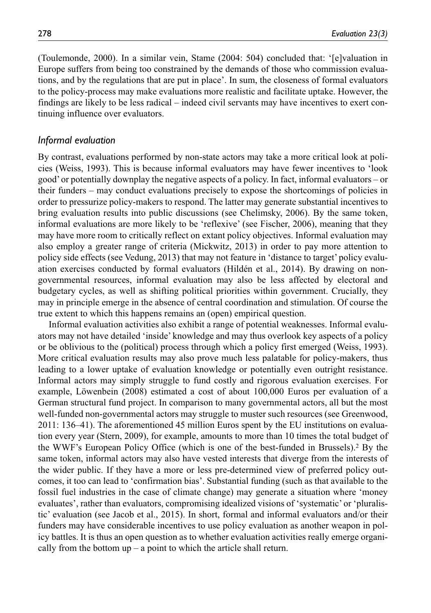(Toulemonde, 2000). In a similar vein, Stame (2004: 504) concluded that: '[e]valuation in Europe suffers from being too constrained by the demands of those who commission evaluations, and by the regulations that are put in place'. In sum, the closeness of formal evaluators to the policy-process may make evaluations more realistic and facilitate uptake. However, the findings are likely to be less radical – indeed civil servants may have incentives to exert continuing influence over evaluators.

#### *Informal evaluation*

By contrast, evaluations performed by non-state actors may take a more critical look at policies (Weiss, 1993). This is because informal evaluators may have fewer incentives to 'look good' or potentially downplay the negative aspects of a policy. In fact, informal evaluators – or their funders – may conduct evaluations precisely to expose the shortcomings of policies in order to pressurize policy-makers to respond. The latter may generate substantial incentives to bring evaluation results into public discussions (see Chelimsky, 2006). By the same token, informal evaluations are more likely to be 'reflexive' (see Fischer, 2006), meaning that they may have more room to critically reflect on extant policy objectives. Informal evaluation may also employ a greater range of criteria (Mickwitz, 2013) in order to pay more attention to policy side effects (see Vedung, 2013) that may not feature in 'distance to target' policy evaluation exercises conducted by formal evaluators (Hildén et al., 2014). By drawing on nongovernmental resources, informal evaluation may also be less affected by electoral and budgetary cycles, as well as shifting political priorities within government. Crucially, they may in principle emerge in the absence of central coordination and stimulation. Of course the true extent to which this happens remains an (open) empirical question.

Informal evaluation activities also exhibit a range of potential weaknesses. Informal evaluators may not have detailed 'inside' knowledge and may thus overlook key aspects of a policy or be oblivious to the (political) process through which a policy first emerged (Weiss, 1993). More critical evaluation results may also prove much less palatable for policy-makers, thus leading to a lower uptake of evaluation knowledge or potentially even outright resistance. Informal actors may simply struggle to fund costly and rigorous evaluation exercises. For example, Löwenbein (2008) estimated a cost of about 100,000 Euros per evaluation of a German structural fund project. In comparison to many governmental actors, all but the most well-funded non-governmental actors may struggle to muster such resources (see Greenwood, 2011: 136–41). The aforementioned 45 million Euros spent by the EU institutions on evaluation every year (Stern, 2009), for example, amounts to more than 10 times the total budget of the WWF's European Policy Office (which is one of the best-funded in Brussels).2 By the same token, informal actors may also have vested interests that diverge from the interests of the wider public. If they have a more or less pre-determined view of preferred policy outcomes, it too can lead to 'confirmation bias'. Substantial funding (such as that available to the fossil fuel industries in the case of climate change) may generate a situation where 'money evaluates', rather than evaluators, compromising idealized visions of 'systematic' or 'pluralistic' evaluation (see Jacob et al., 2015). In short, formal and informal evaluators and/or their funders may have considerable incentives to use policy evaluation as another weapon in policy battles. It is thus an open question as to whether evaluation activities really emerge organically from the bottom  $up - a$  point to which the article shall return.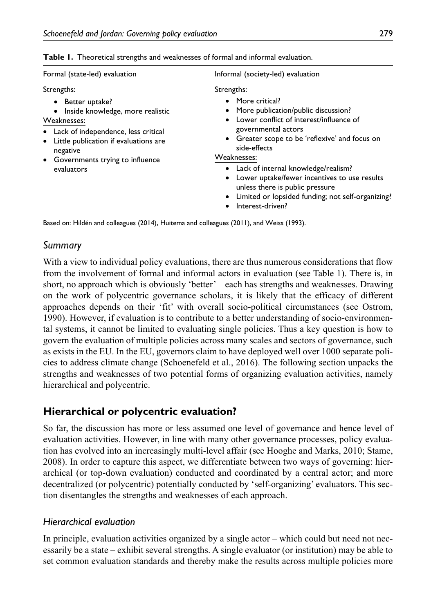| Formal (state-led) evaluation                                                                                                                                                                                                      | Informal (society-led) evaluation                                                                                                                                                                                                                                                                                                                                                                                                       |  |  |
|------------------------------------------------------------------------------------------------------------------------------------------------------------------------------------------------------------------------------------|-----------------------------------------------------------------------------------------------------------------------------------------------------------------------------------------------------------------------------------------------------------------------------------------------------------------------------------------------------------------------------------------------------------------------------------------|--|--|
| Strengths:<br>• Better uptake?<br>Inside knowledge, more realistic<br>Weaknesses:<br>• Lack of independence, less critical<br>Little publication if evaluations are<br>negative<br>• Governments trying to influence<br>evaluators | Strengths:<br>• More critical?<br>• More publication/public discussion?<br>• Lower conflict of interest/influence of<br>governmental actors<br>• Greater scope to be 'reflexive' and focus on<br>side-effects<br>Weaknesses:<br>• Lack of internal knowledge/realism?<br>• Lower uptake/fewer incentives to use results<br>unless there is public pressure<br>• Limited or lopsided funding; not self-organizing?<br>• Interest-driven? |  |  |

|  | Table 1. Theoretical strengths and weaknesses of formal and informal evaluation. |  |  |
|--|----------------------------------------------------------------------------------|--|--|
|  |                                                                                  |  |  |

Based on: Hildén and colleagues (2014), Huitema and colleagues (2011), and Weiss (1993).

# *Summary*

With a view to individual policy evaluations, there are thus numerous considerations that flow from the involvement of formal and informal actors in evaluation (see Table 1). There is, in short, no approach which is obviously 'better' – each has strengths and weaknesses. Drawing on the work of polycentric governance scholars, it is likely that the efficacy of different approaches depends on their 'fit' with overall socio-political circumstances (see Ostrom, 1990). However, if evaluation is to contribute to a better understanding of socio-environmental systems, it cannot be limited to evaluating single policies. Thus a key question is how to govern the evaluation of multiple policies across many scales and sectors of governance, such as exists in the EU. In the EU, governors claim to have deployed well over 1000 separate policies to address climate change (Schoenefeld et al., 2016). The following section unpacks the strengths and weaknesses of two potential forms of organizing evaluation activities, namely hierarchical and polycentric.

# **Hierarchical or polycentric evaluation?**

So far, the discussion has more or less assumed one level of governance and hence level of evaluation activities. However, in line with many other governance processes, policy evaluation has evolved into an increasingly multi-level affair (see Hooghe and Marks, 2010; Stame, 2008). In order to capture this aspect, we differentiate between two ways of governing: hierarchical (or top-down evaluation) conducted and coordinated by a central actor; and more decentralized (or polycentric) potentially conducted by 'self-organizing' evaluators. This section disentangles the strengths and weaknesses of each approach.

# *Hierarchical evaluation*

In principle, evaluation activities organized by a single actor – which could but need not necessarily be a state – exhibit several strengths. A single evaluator (or institution) may be able to set common evaluation standards and thereby make the results across multiple policies more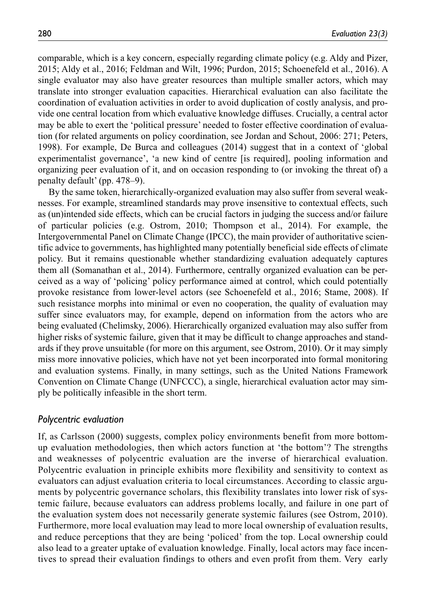comparable, which is a key concern, especially regarding climate policy (e.g. Aldy and Pizer, 2015; Aldy et al., 2016; Feldman and Wilt, 1996; Purdon, 2015; Schoenefeld et al., 2016). A single evaluator may also have greater resources than multiple smaller actors, which may translate into stronger evaluation capacities. Hierarchical evaluation can also facilitate the coordination of evaluation activities in order to avoid duplication of costly analysis, and provide one central location from which evaluative knowledge diffuses. Crucially, a central actor may be able to exert the 'political pressure' needed to foster effective coordination of evaluation (for related arguments on policy coordination, see Jordan and Schout, 2006: 271; Peters, 1998). For example, De Burca and colleagues (2014) suggest that in a context of 'global experimentalist governance', 'a new kind of centre [is required], pooling information and organizing peer evaluation of it, and on occasion responding to (or invoking the threat of) a penalty default' (pp. 478–9).

By the same token, hierarchically-organized evaluation may also suffer from several weaknesses. For example, streamlined standards may prove insensitive to contextual effects, such as (un)intended side effects, which can be crucial factors in judging the success and/or failure of particular policies (e.g. Ostrom, 2010; Thompson et al., 2014). For example, the Intergovernmental Panel on Climate Change (IPCC), the main provider of authoritative scientific advice to governments, has highlighted many potentially beneficial side effects of climate policy. But it remains questionable whether standardizing evaluation adequately captures them all (Somanathan et al., 2014). Furthermore, centrally organized evaluation can be perceived as a way of 'policing' policy performance aimed at control, which could potentially provoke resistance from lower-level actors (see Schoenefeld et al., 2016; Stame, 2008). If such resistance morphs into minimal or even no cooperation, the quality of evaluation may suffer since evaluators may, for example, depend on information from the actors who are being evaluated (Chelimsky, 2006). Hierarchically organized evaluation may also suffer from higher risks of systemic failure, given that it may be difficult to change approaches and standards if they prove unsuitable (for more on this argument, see Ostrom, 2010). Or it may simply miss more innovative policies, which have not yet been incorporated into formal monitoring and evaluation systems. Finally, in many settings, such as the United Nations Framework Convention on Climate Change (UNFCCC), a single, hierarchical evaluation actor may simply be politically infeasible in the short term.

#### *Polycentric evaluation*

If, as Carlsson (2000) suggests, complex policy environments benefit from more bottomup evaluation methodologies, then which actors function at 'the bottom'? The strengths and weaknesses of polycentric evaluation are the inverse of hierarchical evaluation. Polycentric evaluation in principle exhibits more flexibility and sensitivity to context as evaluators can adjust evaluation criteria to local circumstances. According to classic arguments by polycentric governance scholars, this flexibility translates into lower risk of systemic failure, because evaluators can address problems locally, and failure in one part of the evaluation system does not necessarily generate systemic failures (see Ostrom, 2010). Furthermore, more local evaluation may lead to more local ownership of evaluation results, and reduce perceptions that they are being 'policed' from the top. Local ownership could also lead to a greater uptake of evaluation knowledge. Finally, local actors may face incentives to spread their evaluation findings to others and even profit from them. Very early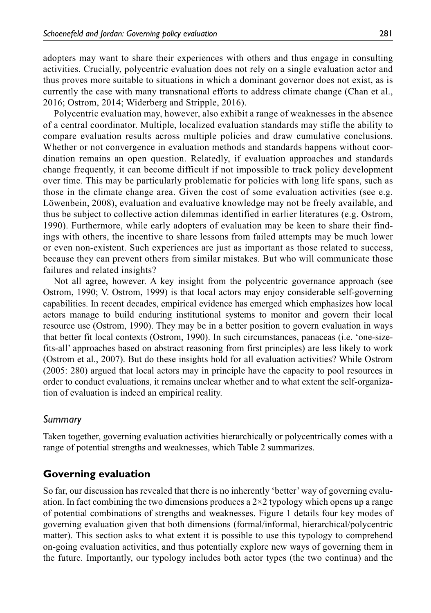adopters may want to share their experiences with others and thus engage in consulting activities. Crucially, polycentric evaluation does not rely on a single evaluation actor and thus proves more suitable to situations in which a dominant governor does not exist, as is currently the case with many transnational efforts to address climate change (Chan et al., 2016; Ostrom, 2014; Widerberg and Stripple, 2016).

Polycentric evaluation may, however, also exhibit a range of weaknesses in the absence of a central coordinator. Multiple, localized evaluation standards may stifle the ability to compare evaluation results across multiple policies and draw cumulative conclusions. Whether or not convergence in evaluation methods and standards happens without coordination remains an open question. Relatedly, if evaluation approaches and standards change frequently, it can become difficult if not impossible to track policy development over time. This may be particularly problematic for policies with long life spans, such as those in the climate change area. Given the cost of some evaluation activities (see e.g. Löwenbein, 2008), evaluation and evaluative knowledge may not be freely available, and thus be subject to collective action dilemmas identified in earlier literatures (e.g. Ostrom, 1990). Furthermore, while early adopters of evaluation may be keen to share their findings with others, the incentive to share lessons from failed attempts may be much lower or even non-existent. Such experiences are just as important as those related to success, because they can prevent others from similar mistakes. But who will communicate those failures and related insights?

Not all agree, however. A key insight from the polycentric governance approach (see Ostrom, 1990; V. Ostrom, 1999) is that local actors may enjoy considerable self-governing capabilities. In recent decades, empirical evidence has emerged which emphasizes how local actors manage to build enduring institutional systems to monitor and govern their local resource use (Ostrom, 1990). They may be in a better position to govern evaluation in ways that better fit local contexts (Ostrom, 1990). In such circumstances, panaceas (i.e. 'one-sizefits-all' approaches based on abstract reasoning from first principles) are less likely to work (Ostrom et al., 2007). But do these insights hold for all evaluation activities? While Ostrom (2005: 280) argued that local actors may in principle have the capacity to pool resources in order to conduct evaluations, it remains unclear whether and to what extent the self-organization of evaluation is indeed an empirical reality.

## *Summary*

Taken together, governing evaluation activities hierarchically or polycentrically comes with a range of potential strengths and weaknesses, which Table 2 summarizes.

## **Governing evaluation**

So far, our discussion has revealed that there is no inherently 'better' way of governing evaluation. In fact combining the two dimensions produces a  $2\times 2$  typology which opens up a range of potential combinations of strengths and weaknesses. Figure 1 details four key modes of governing evaluation given that both dimensions (formal/informal, hierarchical/polycentric matter). This section asks to what extent it is possible to use this typology to comprehend on-going evaluation activities, and thus potentially explore new ways of governing them in the future. Importantly, our typology includes both actor types (the two continua) and the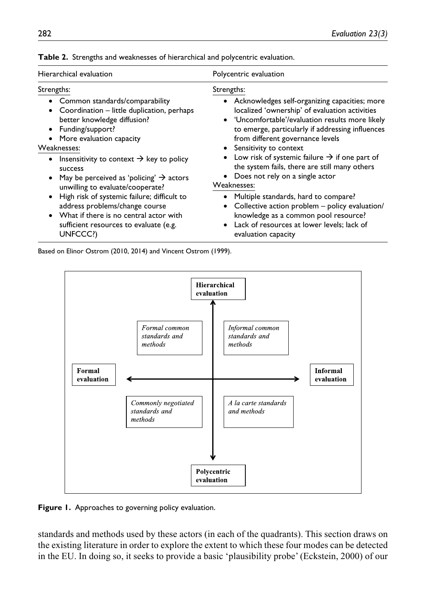| Hierarchical evaluation                                                                                                                                                                                                                                                                                                                                                                                                                                                                                              | Polycentric evaluation                                                                                                                                                                                                                                                                                                                                                                                                                                                                                                                                                                                                                  |  |  |  |
|----------------------------------------------------------------------------------------------------------------------------------------------------------------------------------------------------------------------------------------------------------------------------------------------------------------------------------------------------------------------------------------------------------------------------------------------------------------------------------------------------------------------|-----------------------------------------------------------------------------------------------------------------------------------------------------------------------------------------------------------------------------------------------------------------------------------------------------------------------------------------------------------------------------------------------------------------------------------------------------------------------------------------------------------------------------------------------------------------------------------------------------------------------------------------|--|--|--|
| Strengths:<br>• Common standards/comparability<br>Coordination - little duplication, perhaps<br>better knowledge diffusion?<br>Funding/support?<br>More evaluation capacity<br>Weaknesses:<br>Insensitivity to context $\rightarrow$ key to policy<br>$\bullet$<br>success<br>May be perceived as 'policing' $\rightarrow$ actors<br>٠<br>unwilling to evaluate/cooperate?<br>High risk of systemic failure; difficult to<br>$\bullet$<br>address problems/change course<br>• What if there is no central actor with | Strengths:<br>• Acknowledges self-organizing capacities; more<br>localized 'ownership' of evaluation activities<br>• 'Uncomfortable'/evaluation results more likely<br>to emerge, particularly if addressing influences<br>from different governance levels<br>Sensitivity to context<br>Low risk of systemic failure $\rightarrow$ if one part of<br>the system fails, there are still many others<br>Does not rely on a single actor<br>Weaknesses:<br>Multiple standards, hard to compare?<br>Collective action problem - policy evaluation/<br>knowledge as a common pool resource?<br>• Lack of resources at lower levels; lack of |  |  |  |
| sufficient resources to evaluate (e.g.<br>UNFCCC?)                                                                                                                                                                                                                                                                                                                                                                                                                                                                   | evaluation capacity                                                                                                                                                                                                                                                                                                                                                                                                                                                                                                                                                                                                                     |  |  |  |

**Table 2.** Strengths and weaknesses of hierarchical and polycentric evaluation.

Based on Elinor Ostrom (2010, 2014) and Vincent Ostrom (1999).



Figure 1. Approaches to governing policy evaluation.

standards and methods used by these actors (in each of the quadrants). This section draws on the existing literature in order to explore the extent to which these four modes can be detected in the EU. In doing so, it seeks to provide a basic 'plausibility probe' (Eckstein, 2000) of our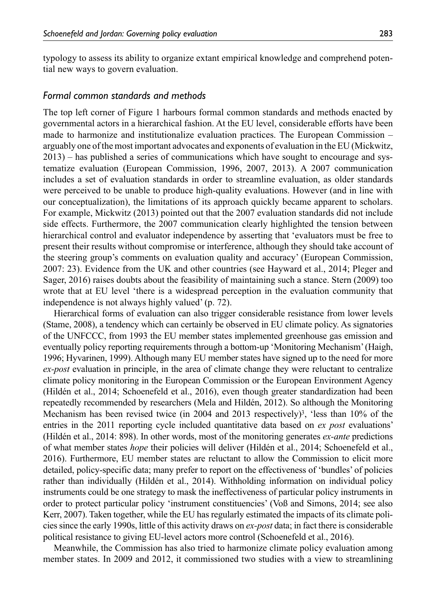typology to assess its ability to organize extant empirical knowledge and comprehend potential new ways to govern evaluation.

#### *Formal common standards and methods*

The top left corner of Figure 1 harbours formal common standards and methods enacted by governmental actors in a hierarchical fashion. At the EU level, considerable efforts have been made to harmonize and institutionalize evaluation practices. The European Commission – arguably one of the most important advocates and exponents of evaluation in the EU (Mickwitz, 2013) – has published a series of communications which have sought to encourage and systematize evaluation (European Commission, 1996, 2007, 2013). A 2007 communication includes a set of evaluation standards in order to streamline evaluation, as older standards were perceived to be unable to produce high-quality evaluations. However (and in line with our conceptualization), the limitations of its approach quickly became apparent to scholars. For example, Mickwitz (2013) pointed out that the 2007 evaluation standards did not include side effects. Furthermore, the 2007 communication clearly highlighted the tension between hierarchical control and evaluator independence by asserting that 'evaluators must be free to present their results without compromise or interference, although they should take account of the steering group's comments on evaluation quality and accuracy' (European Commission, 2007: 23). Evidence from the UK and other countries (see Hayward et al., 2014; Pleger and Sager, 2016) raises doubts about the feasibility of maintaining such a stance. Stern (2009) too wrote that at EU level 'there is a widespread perception in the evaluation community that independence is not always highly valued' (p. 72).

Hierarchical forms of evaluation can also trigger considerable resistance from lower levels (Stame, 2008), a tendency which can certainly be observed in EU climate policy. As signatories of the UNFCCC, from 1993 the EU member states implemented greenhouse gas emission and eventually policy reporting requirements through a bottom-up 'Monitoring Mechanism' (Haigh, 1996; Hyvarinen, 1999). Although many EU member states have signed up to the need for more *ex-post* evaluation in principle, in the area of climate change they were reluctant to centralize climate policy monitoring in the European Commission or the European Environment Agency (Hildén et al., 2014; Schoenefeld et al., 2016), even though greater standardization had been repeatedly recommended by researchers (Mela and Hildén, 2012). So although the Monitoring Mechanism has been revised twice (in 2004 and 2013 respectively)<sup>3</sup>, 'less than  $10\%$  of the entries in the 2011 reporting cycle included quantitative data based on *ex post* evaluations' (Hildén et al., 2014: 898). In other words, most of the monitoring generates *ex-ante* predictions of what member states *hope* their policies will deliver (Hildén et al., 2014; Schoenefeld et al., 2016). Furthermore, EU member states are reluctant to allow the Commission to elicit more detailed, policy-specific data; many prefer to report on the effectiveness of 'bundles' of policies rather than individually (Hildén et al., 2014). Withholding information on individual policy instruments could be one strategy to mask the ineffectiveness of particular policy instruments in order to protect particular policy 'instrument constituencies' (Voß and Simons, 2014; see also Kerr, 2007). Taken together, while the EU has regularly estimated the impacts of its climate policies since the early 1990s, little of this activity draws on *ex-post* data; in fact there is considerable political resistance to giving EU-level actors more control (Schoenefeld et al., 2016).

Meanwhile, the Commission has also tried to harmonize climate policy evaluation among member states. In 2009 and 2012, it commissioned two studies with a view to streamlining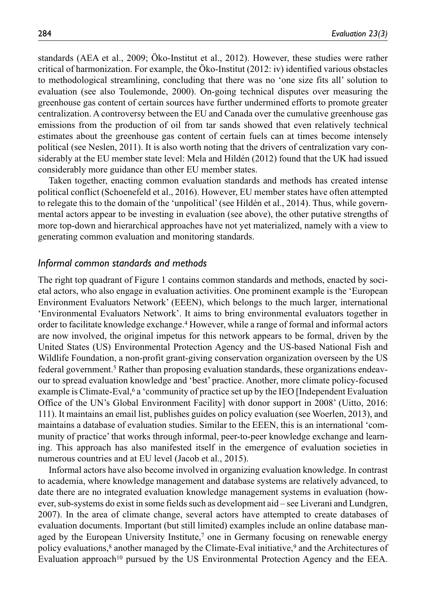standards (AEA et al., 2009; Öko-Institut et al., 2012). However, these studies were rather critical of harmonization. For example, the Öko-Institut (2012: iv) identified various obstacles to methodological streamlining, concluding that there was no 'one size fits all' solution to evaluation (see also Toulemonde, 2000). On-going technical disputes over measuring the greenhouse gas content of certain sources have further undermined efforts to promote greater centralization. A controversy between the EU and Canada over the cumulative greenhouse gas emissions from the production of oil from tar sands showed that even relatively technical estimates about the greenhouse gas content of certain fuels can at times become intensely political (see Neslen, 2011). It is also worth noting that the drivers of centralization vary considerably at the EU member state level: Mela and Hildén (2012) found that the UK had issued considerably more guidance than other EU member states.

Taken together, enacting common evaluation standards and methods has created intense political conflict (Schoenefeld et al., 2016). However, EU member states have often attempted to relegate this to the domain of the 'unpolitical' (see Hildén et al., 2014). Thus, while governmental actors appear to be investing in evaluation (see above), the other putative strengths of more top-down and hierarchical approaches have not yet materialized, namely with a view to generating common evaluation and monitoring standards.

#### *Informal common standards and methods*

The right top quadrant of Figure 1 contains common standards and methods, enacted by societal actors, who also engage in evaluation activities. One prominent example is the 'European Environment Evaluators Network' (EEEN), which belongs to the much larger, international 'Environmental Evaluators Network'. It aims to bring environmental evaluators together in order to facilitate knowledge exchange.4 However, while a range of formal and informal actors are now involved, the original impetus for this network appears to be formal, driven by the United States (US) Environmental Protection Agency and the US-based National Fish and Wildlife Foundation, a non-profit grant-giving conservation organization overseen by the US federal government.<sup>5</sup> Rather than proposing evaluation standards, these organizations endeavour to spread evaluation knowledge and 'best' practice. Another, more climate policy-focused example is Climate-Eval,<sup>6</sup> a 'community of practice set up by the IEO [Independent Evaluation Office of the UN's Global Environment Facility] with donor support in 2008' (Uitto, 2016: 111). It maintains an email list, publishes guides on policy evaluation (see Woerlen, 2013), and maintains a database of evaluation studies. Similar to the EEEN, this is an international 'community of practice' that works through informal, peer-to-peer knowledge exchange and learning. This approach has also manifested itself in the emergence of evaluation societies in numerous countries and at EU level (Jacob et al., 2015).

Informal actors have also become involved in organizing evaluation knowledge. In contrast to academia, where knowledge management and database systems are relatively advanced, to date there are no integrated evaluation knowledge management systems in evaluation (however, sub-systems do exist in some fields such as development aid – see Liverani and Lundgren, 2007). In the area of climate change, several actors have attempted to create databases of evaluation documents. Important (but still limited) examples include an online database managed by the European University Institute,<sup>7</sup> one in Germany focusing on renewable energy policy evaluations,8 another managed by the Climate-Eval initiative,9 and the Architectures of Evaluation approach<sup>10</sup> pursued by the US Environmental Protection Agency and the EEA.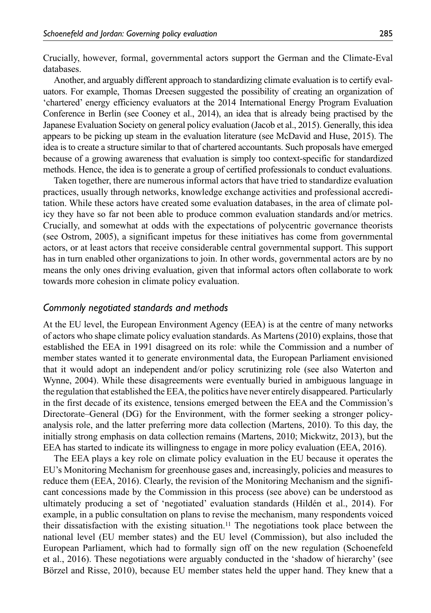Crucially, however, formal, governmental actors support the German and the Climate-Eval databases.

Another, and arguably different approach to standardizing climate evaluation is to certify evaluators. For example, Thomas Dreesen suggested the possibility of creating an organization of 'chartered' energy efficiency evaluators at the 2014 International Energy Program Evaluation Conference in Berlin (see Cooney et al., 2014), an idea that is already being practised by the Japanese Evaluation Society on general policy evaluation (Jacob et al., 2015). Generally, this idea appears to be picking up steam in the evaluation literature (see McDavid and Huse, 2015). The idea is to create a structure similar to that of chartered accountants. Such proposals have emerged because of a growing awareness that evaluation is simply too context-specific for standardized methods. Hence, the idea is to generate a group of certified professionals to conduct evaluations.

Taken together, there are numerous informal actors that have tried to standardize evaluation practices, usually through networks, knowledge exchange activities and professional accreditation. While these actors have created some evaluation databases, in the area of climate policy they have so far not been able to produce common evaluation standards and/or metrics. Crucially, and somewhat at odds with the expectations of polycentric governance theorists (see Ostrom, 2005), a significant impetus for these initiatives has come from governmental actors, or at least actors that receive considerable central governmental support. This support has in turn enabled other organizations to join. In other words, governmental actors are by no means the only ones driving evaluation, given that informal actors often collaborate to work towards more cohesion in climate policy evaluation.

#### *Commonly negotiated standards and methods*

At the EU level, the European Environment Agency (EEA) is at the centre of many networks of actors who shape climate policy evaluation standards. As Martens (2010) explains, those that established the EEA in 1991 disagreed on its role: while the Commission and a number of member states wanted it to generate environmental data, the European Parliament envisioned that it would adopt an independent and/or policy scrutinizing role (see also Waterton and Wynne, 2004). While these disagreements were eventually buried in ambiguous language in the regulation that established the EEA, the politics have never entirely disappeared. Particularly in the first decade of its existence, tensions emerged between the EEA and the Commission's Directorate–General (DG) for the Environment, with the former seeking a stronger policyanalysis role, and the latter preferring more data collection (Martens, 2010). To this day, the initially strong emphasis on data collection remains (Martens, 2010; Mickwitz, 2013), but the EEA has started to indicate its willingness to engage in more policy evaluation (EEA, 2016).

The EEA plays a key role on climate policy evaluation in the EU because it operates the EU's Monitoring Mechanism for greenhouse gases and, increasingly, policies and measures to reduce them (EEA, 2016). Clearly, the revision of the Monitoring Mechanism and the significant concessions made by the Commission in this process (see above) can be understood as ultimately producing a set of 'negotiated' evaluation standards (Hildén et al., 2014). For example, in a public consultation on plans to revise the mechanism, many respondents voiced their dissatisfaction with the existing situation.11 The negotiations took place between the national level (EU member states) and the EU level (Commission), but also included the European Parliament, which had to formally sign off on the new regulation (Schoenefeld et al., 2016). These negotiations were arguably conducted in the 'shadow of hierarchy' (see Börzel and Risse, 2010), because EU member states held the upper hand. They knew that a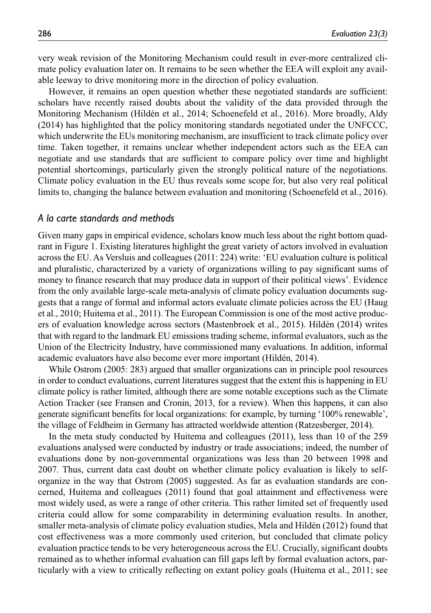very weak revision of the Monitoring Mechanism could result in ever-more centralized climate policy evaluation later on. It remains to be seen whether the EEA will exploit any available leeway to drive monitoring more in the direction of policy evaluation.

However, it remains an open question whether these negotiated standards are sufficient: scholars have recently raised doubts about the validity of the data provided through the Monitoring Mechanism (Hildén et al., 2014; Schoenefeld et al., 2016). More broadly, Aldy (2014) has highlighted that the policy monitoring standards negotiated under the UNFCCC, which underwrite the EUs monitoring mechanism, are insufficient to track climate policy over time. Taken together, it remains unclear whether independent actors such as the EEA can negotiate and use standards that are sufficient to compare policy over time and highlight potential shortcomings, particularly given the strongly political nature of the negotiations. Climate policy evaluation in the EU thus reveals some scope for, but also very real political limits to, changing the balance between evaluation and monitoring (Schoenefeld et al., 2016).

### *A la carte standards and methods*

Given many gaps in empirical evidence, scholars know much less about the right bottom quadrant in Figure 1. Existing literatures highlight the great variety of actors involved in evaluation across the EU. As Versluis and colleagues (2011: 224) write: 'EU evaluation culture is political and pluralistic, characterized by a variety of organizations willing to pay significant sums of money to finance research that may produce data in support of their political views'. Evidence from the only available large-scale meta-analysis of climate policy evaluation documents suggests that a range of formal and informal actors evaluate climate policies across the EU (Haug et al., 2010; Huitema et al., 2011). The European Commission is one of the most active producers of evaluation knowledge across sectors (Mastenbroek et al., 2015). Hildén (2014) writes that with regard to the landmark EU emissions trading scheme, informal evaluators, such as the Union of the Electricity Industry, have commissioned many evaluations. In addition, informal academic evaluators have also become ever more important (Hildén, 2014).

While Ostrom (2005: 283) argued that smaller organizations can in principle pool resources in order to conduct evaluations, current literatures suggest that the extent this is happening in EU climate policy is rather limited, although there are some notable exceptions such as the Climate Action Tracker (see Fransen and Cronin, 2013, for a review). When this happens, it can also generate significant benefits for local organizations: for example, by turning '100% renewable', the village of Feldheim in Germany has attracted worldwide attention (Ratzesberger, 2014).

In the meta study conducted by Huitema and colleagues (2011), less than 10 of the 259 evaluations analysed were conducted by industry or trade associations; indeed, the number of evaluations done by non-governmental organizations was less than 20 between 1998 and 2007. Thus, current data cast doubt on whether climate policy evaluation is likely to selforganize in the way that Ostrom (2005) suggested. As far as evaluation standards are concerned, Huitema and colleagues (2011) found that goal attainment and effectiveness were most widely used, as were a range of other criteria. This rather limited set of frequently used criteria could allow for some comparability in determining evaluation results. In another, smaller meta-analysis of climate policy evaluation studies, Mela and Hildén (2012) found that cost effectiveness was a more commonly used criterion, but concluded that climate policy evaluation practice tends to be very heterogeneous across the EU. Crucially, significant doubts remained as to whether informal evaluation can fill gaps left by formal evaluation actors, particularly with a view to critically reflecting on extant policy goals (Huitema et al., 2011; see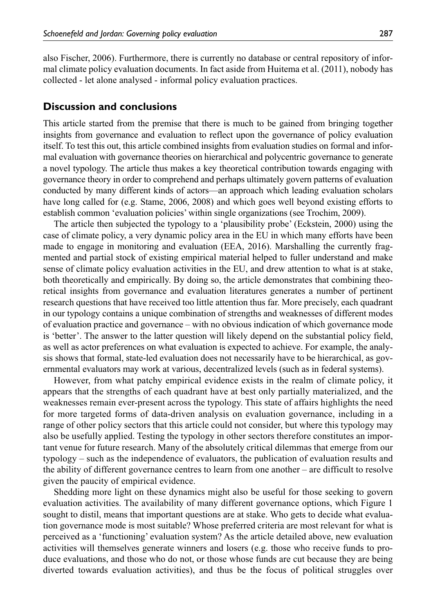also Fischer, 2006). Furthermore, there is currently no database or central repository of informal climate policy evaluation documents. In fact aside from Huitema et al. (2011), nobody has collected - let alone analysed - informal policy evaluation practices.

## **Discussion and conclusions**

This article started from the premise that there is much to be gained from bringing together insights from governance and evaluation to reflect upon the governance of policy evaluation itself. To test this out, this article combined insights from evaluation studies on formal and informal evaluation with governance theories on hierarchical and polycentric governance to generate a novel typology. The article thus makes a key theoretical contribution towards engaging with governance theory in order to comprehend and perhaps ultimately govern patterns of evaluation conducted by many different kinds of actors—an approach which leading evaluation scholars have long called for (e.g. Stame, 2006, 2008) and which goes well beyond existing efforts to establish common 'evaluation policies' within single organizations (see Trochim, 2009).

The article then subjected the typology to a 'plausibility probe' (Eckstein, 2000) using the case of climate policy, a very dynamic policy area in the EU in which many efforts have been made to engage in monitoring and evaluation (EEA, 2016). Marshalling the currently fragmented and partial stock of existing empirical material helped to fuller understand and make sense of climate policy evaluation activities in the EU, and drew attention to what is at stake, both theoretically and empirically. By doing so, the article demonstrates that combining theoretical insights from governance and evaluation literatures generates a number of pertinent research questions that have received too little attention thus far. More precisely, each quadrant in our typology contains a unique combination of strengths and weaknesses of different modes of evaluation practice and governance – with no obvious indication of which governance mode is 'better'. The answer to the latter question will likely depend on the substantial policy field, as well as actor preferences on what evaluation is expected to achieve. For example, the analysis shows that formal, state-led evaluation does not necessarily have to be hierarchical, as governmental evaluators may work at various, decentralized levels (such as in federal systems).

However, from what patchy empirical evidence exists in the realm of climate policy, it appears that the strengths of each quadrant have at best only partially materialized, and the weaknesses remain ever-present across the typology. This state of affairs highlights the need for more targeted forms of data-driven analysis on evaluation governance, including in a range of other policy sectors that this article could not consider, but where this typology may also be usefully applied. Testing the typology in other sectors therefore constitutes an important venue for future research. Many of the absolutely critical dilemmas that emerge from our typology – such as the independence of evaluators, the publication of evaluation results and the ability of different governance centres to learn from one another – are difficult to resolve given the paucity of empirical evidence.

Shedding more light on these dynamics might also be useful for those seeking to govern evaluation activities. The availability of many different governance options, which Figure 1 sought to distil, means that important questions are at stake. Who gets to decide what evaluation governance mode is most suitable? Whose preferred criteria are most relevant for what is perceived as a 'functioning' evaluation system? As the article detailed above, new evaluation activities will themselves generate winners and losers (e.g. those who receive funds to produce evaluations, and those who do not, or those whose funds are cut because they are being diverted towards evaluation activities), and thus be the focus of political struggles over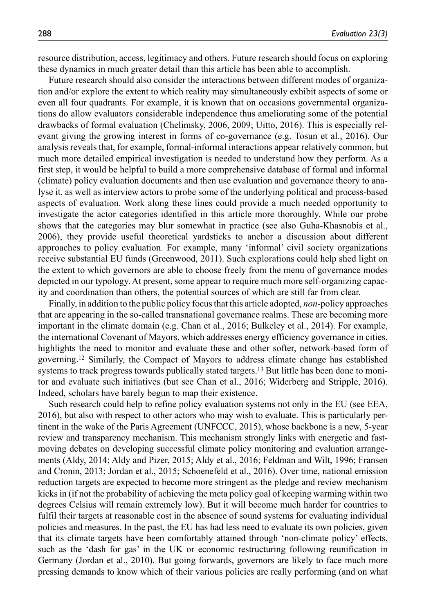resource distribution, access, legitimacy and others. Future research should focus on exploring these dynamics in much greater detail than this article has been able to accomplish.

Future research should also consider the interactions between different modes of organization and/or explore the extent to which reality may simultaneously exhibit aspects of some or even all four quadrants. For example, it is known that on occasions governmental organizations do allow evaluators considerable independence thus ameliorating some of the potential drawbacks of formal evaluation (Chelimsky, 2006, 2009; Uitto, 2016). This is especially relevant giving the growing interest in forms of co-governance (e.g. Tosun et al., 2016). Our analysis reveals that, for example, formal-informal interactions appear relatively common, but much more detailed empirical investigation is needed to understand how they perform. As a first step, it would be helpful to build a more comprehensive database of formal and informal (climate) policy evaluation documents and then use evaluation and governance theory to analyse it, as well as interview actors to probe some of the underlying political and process-based aspects of evaluation. Work along these lines could provide a much needed opportunity to investigate the actor categories identified in this article more thoroughly. While our probe shows that the categories may blur somewhat in practice (see also Guha-Khasnobis et al., 2006), they provide useful theoretical yardsticks to anchor a discussion about different approaches to policy evaluation. For example, many 'informal' civil society organizations receive substantial EU funds (Greenwood, 2011). Such explorations could help shed light on the extent to which governors are able to choose freely from the menu of governance modes depicted in our typology. At present, some appear to require much more self-organizing capacity and coordination than others, the potential sources of which are still far from clear.

Finally, in addition to the public policy focus that this article adopted, *non*-policy approaches that are appearing in the so-called transnational governance realms. These are becoming more important in the climate domain (e.g. Chan et al., 2016; Bulkeley et al., 2014). For example, the international Covenant of Mayors, which addresses energy efficiency governance in cities, highlights the need to monitor and evaluate these and other softer, network-based form of governing.12 Similarly, the Compact of Mayors to address climate change has established systems to track progress towards publically stated targets.<sup>13</sup> But little has been done to monitor and evaluate such initiatives (but see Chan et al., 2016; Widerberg and Stripple, 2016). Indeed, scholars have barely begun to map their existence.

Such research could help to refine policy evaluation systems not only in the EU (see EEA, 2016), but also with respect to other actors who may wish to evaluate. This is particularly pertinent in the wake of the Paris Agreement (UNFCCC, 2015), whose backbone is a new, 5-year review and transparency mechanism. This mechanism strongly links with energetic and fastmoving debates on developing successful climate policy monitoring and evaluation arrangements (Aldy, 2014; Aldy and Pizer, 2015; Aldy et al., 2016; Feldman and Wilt, 1996; Fransen and Cronin, 2013; Jordan et al., 2015; Schoenefeld et al., 2016). Over time, national emission reduction targets are expected to become more stringent as the pledge and review mechanism kicks in (if not the probability of achieving the meta policy goal of keeping warming within two degrees Celsius will remain extremely low). But it will become much harder for countries to fulfil their targets at reasonable cost in the absence of sound systems for evaluating individual policies and measures. In the past, the EU has had less need to evaluate its own policies, given that its climate targets have been comfortably attained through 'non-climate policy' effects, such as the 'dash for gas' in the UK or economic restructuring following reunification in Germany (Jordan et al., 2010). But going forwards, governors are likely to face much more pressing demands to know which of their various policies are really performing (and on what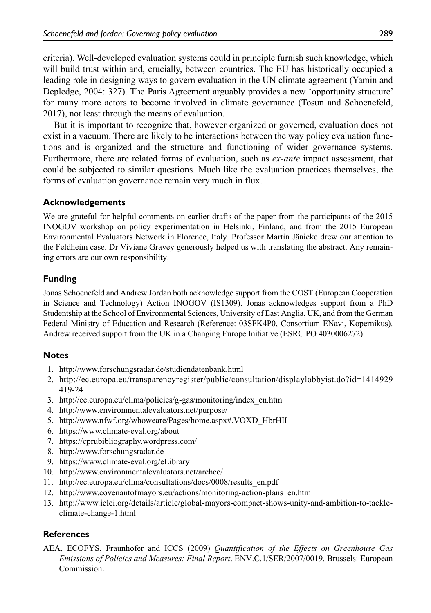criteria). Well-developed evaluation systems could in principle furnish such knowledge, which will build trust within and, crucially, between countries. The EU has historically occupied a leading role in designing ways to govern evaluation in the UN climate agreement (Yamin and Depledge, 2004: 327). The Paris Agreement arguably provides a new 'opportunity structure' for many more actors to become involved in climate governance (Tosun and Schoenefeld, 2017), not least through the means of evaluation.

But it is important to recognize that, however organized or governed, evaluation does not exist in a vacuum. There are likely to be interactions between the way policy evaluation functions and is organized and the structure and functioning of wider governance systems. Furthermore, there are related forms of evaluation, such as *ex-ante* impact assessment, that could be subjected to similar questions. Much like the evaluation practices themselves, the forms of evaluation governance remain very much in flux.

## **Acknowledgements**

We are grateful for helpful comments on earlier drafts of the paper from the participants of the 2015 INOGOV workshop on policy experimentation in Helsinki, Finland, and from the 2015 European Environmental Evaluators Network in Florence, Italy. Professor Martin Jänicke drew our attention to the Feldheim case. Dr Viviane Gravey generously helped us with translating the abstract. Any remaining errors are our own responsibility.

# **Funding**

Jonas Schoenefeld and Andrew Jordan both acknowledge support from the COST (European Cooperation in Science and Technology) Action INOGOV (IS1309). Jonas acknowledges support from a PhD Studentship at the School of Environmental Sciences, University of East Anglia, UK, and from the German Federal Ministry of Education and Research (Reference: 03SFK4P0, Consortium ENavi, Kopernikus). Andrew received support from the UK in a Changing Europe Initiative (ESRC PO 4030006272).

# **Notes**

- 1. <http://www.forschungsradar.de/studiendatenbank.html>
- 2. [http://ec.europa.eu/transparencyregister/public/consultation/displaylobbyist.do?id=1414929](http://ec.europa.eu/transparencyregister/public/consultation/displaylobbyist.do?id=1414929419-24) [419-24](http://ec.europa.eu/transparencyregister/public/consultation/displaylobbyist.do?id=1414929419-24)
- 3. [http://ec.europa.eu/clima/policies/g-gas/monitoring/index\\_en.htm](http://ec.europa.eu/clima/policies/g-gas/monitoring/index_en.htm)
- 4. <http://www.environmentalevaluators.net/purpose/>
- 5. [http://www.nfwf.org/whoweare/Pages/home.aspx#.VOXD\\_HbrHII](http://www.nfwf.org/whoweare/Pages/home.aspx#.VOXD_HbrHII)
- 6. <https://www.climate-eval.org/about>
- 7. <https://cprubibliography.wordpress.com/>
- 8. <http://www.forschungsradar.de>
- 9. <https://www.climate-eval.org/eLibrary>
- 10. <http://www.environmentalevaluators.net/archee/>
- 11. [http://ec.europa.eu/clima/consultations/docs/0008/results\\_en.pdf](http://ec.europa.eu/clima/consultations/docs/0008/results_en.pdf)
- 12. [http://www.covenantofmayors.eu/actions/monitoring-action-plans\\_en.html](http://www.covenantofmayors.eu/actions/monitoring-action-plans_en.html)
- 13. [http://www.iclei.org/details/article/global-mayors-compact-shows-unity-and-ambition-to-tackle](http://www.iclei.org/details/article/global-mayors-compact-shows-unity-and-ambition-to-tackle-climate-change-1.html)[climate-change-1.html](http://www.iclei.org/details/article/global-mayors-compact-shows-unity-and-ambition-to-tackle-climate-change-1.html)

## **References**

AEA, ECOFYS, Fraunhofer and ICCS (2009) *Quantification of the Effects on Greenhouse Gas Emissions of Policies and Measures: Final Report*. ENV.C.1/SER/2007/0019. Brussels: European **Commission**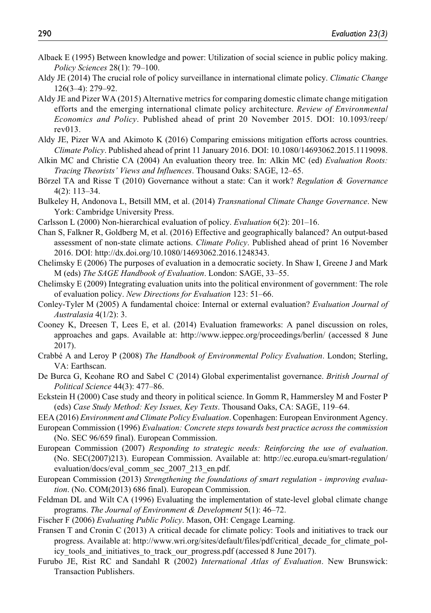- Albaek E (1995) Between knowledge and power: Utilization of social science in public policy making. *Policy Sciences* 28(1): 79–100.
- Aldy JE (2014) The crucial role of policy surveillance in international climate policy. *Climatic Change* 126(3–4): 279–92.
- Aldy JE and Pizer WA (2015) Alternative metrics for comparing domestic climate change mitigation efforts and the emerging international climate policy architecture. *Review of Environmental Economics and Policy*. Published ahead of print 20 November 2015. DOI: 10.1093/reep/ rev013.
- Aldy JE, Pizer WA and Akimoto K (2016) Comparing emissions mitigation efforts across countries. *Climate Policy*. Published ahead of print 11 January 2016. DOI: 10.1080/14693062.2015.1119098.
- Alkin MC and Christie CA (2004) An evaluation theory tree. In: Alkin MC (ed) *Evaluation Roots: Tracing Theorists' Views and Influences*. Thousand Oaks: SAGE, 12–65.
- Börzel TA and Risse T (2010) Governance without a state: Can it work? *Regulation & Governance* 4(2): 113–34.
- Bulkeley H, Andonova L, Betsill MM, et al. (2014) *Transnational Climate Change Governance*. New York: Cambridge University Press.
- Carlsson L (2000) Non-hierarchical evaluation of policy. *Evaluation* 6(2): 201–16.
- Chan S, Falkner R, Goldberg M, et al. (2016) Effective and geographically balanced? An output-based assessment of non-state climate actions. *Climate Policy*. Published ahead of print 16 November 2016. DOI:<http://dx.doi.org/10.1080/14693062.2016.1248343>.
- Chelimsky E (2006) The purposes of evaluation in a democratic society. In Shaw I, Greene J and Mark M (eds) *The SAGE Handbook of Evaluation*. London: SAGE, 33–55.
- Chelimsky E (2009) Integrating evaluation units into the political environment of government: The role of evaluation policy. *New Directions for Evaluation* 123: 51–66.
- Conley-Tyler M (2005) A fundamental choice: Internal or external evaluation? *Evaluation Journal of Australasia* 4(1/2): 3.
- Cooney K, Dreesen T, Lees E, et al. (2014) Evaluation frameworks: A panel discussion on roles, approaches and gaps. Available at: <http://www.ieppec.org/proceedings/berlin/>(accessed 8 June 2017).
- Crabbé A and Leroy P (2008) *The Handbook of Environmental Policy Evaluation*. London; Sterling, VA: Earthscan.
- De Burca G, Keohane RO and Sabel C (2014) Global experimentalist governance. *British Journal of Political Science* 44(3): 477–86.
- Eckstein H (2000) Case study and theory in political science. In Gomm R, Hammersley M and Foster P (eds) *Case Study Method: Key Issues, Key Texts*. Thousand Oaks, CA: SAGE, 119–64.
- EEA (2016) *Environment and Climate Policy Evaluation*. Copenhagen: European Environment Agency.
- European Commission (1996) *Evaluation: Concrete steps towards best practice across the commission* (No. SEC 96/659 final). European Commission.
- European Commission (2007) *Responding to strategic needs: Reinforcing the use of evaluation*. (No. SEC(2007)213). European Commission. Available at: [http://ec.europa.eu/smart-regulation/](http://ec.europa.eu/smart-regulation/evaluation/docs/eval_comm_sec_2007_213_en.pdf) [evaluation/docs/eval\\_comm\\_sec\\_2007\\_213\\_en.pdf.](http://ec.europa.eu/smart-regulation/evaluation/docs/eval_comm_sec_2007_213_en.pdf)
- European Commission (2013) *Strengthening the foundations of smart regulation improving evaluation*. (No. COM(2013) 686 final). European Commission.
- Feldman DL and Wilt CA (1996) Evaluating the implementation of state-level global climate change programs. *The Journal of Environment & Development* 5(1): 46–72.
- Fischer F (2006) *Evaluating Public Policy*. Mason, OH: Cengage Learning.

Fransen T and Cronin C (2013) A critical decade for climate policy: Tools and initiatives to track our progress. Available at: [http://www.wri.org/sites/default/files/pdf/critical\\_decade\\_for\\_climate\\_pol](http://www.wri.org/sites/default/files/pdf/critical_decade_for_climate_policy_tools_and_initiatives_to_track_our_progress.pdf)[icy\\_tools\\_and\\_initiatives\\_to\\_track\\_our\\_progress.pdf](http://www.wri.org/sites/default/files/pdf/critical_decade_for_climate_policy_tools_and_initiatives_to_track_our_progress.pdf) (accessed 8 June 2017).

Furubo JE, Rist RC and Sandahl R (2002) *International Atlas of Evaluation*. New Brunswick: Transaction Publishers.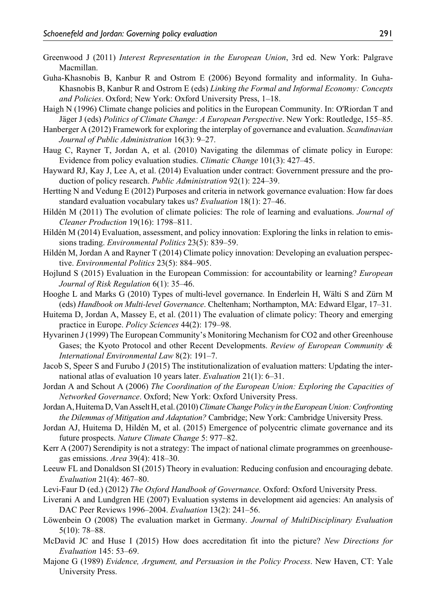- Greenwood J (2011) *Interest Representation in the European Union*, 3rd ed. New York: Palgrave Macmillan.
- Guha-Khasnobis B, Kanbur R and Ostrom E (2006) Beyond formality and informality. In Guha-Khasnobis B, Kanbur R and Ostrom E (eds) *Linking the Formal and Informal Economy: Concepts and Policies*. Oxford; New York: Oxford University Press, 1–18.
- Haigh N (1996) Climate change policies and politics in the European Community. In: O'Riordan T and Jäger J (eds) *Politics of Climate Change: A European Perspective*. New York: Routledge, 155–85.
- Hanberger A (2012) Framework for exploring the interplay of governance and evaluation. *Scandinavian Journal of Public Administration* 16(3): 9–27.
- Haug C, Rayner T, Jordan A, et al. (2010) Navigating the dilemmas of climate policy in Europe: Evidence from policy evaluation studies. *Climatic Change* 101(3): 427–45.
- Hayward RJ, Kay J, Lee A, et al. (2014) Evaluation under contract: Government pressure and the production of policy research. *Public Administration* 92(1): 224–39.
- Hertting N and Vedung E (2012) Purposes and criteria in network governance evaluation: How far does standard evaluation vocabulary takes us? *Evaluation* 18(1): 27–46.
- Hildén M (2011) The evolution of climate policies: The role of learning and evaluations. *Journal of Cleaner Production* 19(16): 1798–811.
- Hildén M (2014) Evaluation, assessment, and policy innovation: Exploring the links in relation to emissions trading. *Environmental Politics* 23(5): 839–59.
- Hildén M, Jordan A and Rayner T (2014) Climate policy innovation: Developing an evaluation perspective. *Environmental Politics* 23(5): 884–905.
- Hojlund S (2015) Evaluation in the European Commission: for accountability or learning? *European Journal of Risk Regulation* 6(1): 35–46.
- Hooghe L and Marks G (2010) Types of multi-level governance. In Enderlein H, Wälti S and Zürn M (eds) *Handbook on Multi-level Governance*. Cheltenham; Northampton, MA: Edward Elgar, 17–31.
- Huitema D, Jordan A, Massey E, et al. (2011) The evaluation of climate policy: Theory and emerging practice in Europe. *Policy Sciences* 44(2): 179–98.
- Hyvarinen J (1999) The European Community's Monitoring Mechanism for CO2 and other Greenhouse Gases; the Kyoto Protocol and other Recent Developments. *Review of European Community & International Environmental Law* 8(2): 191–7.
- Jacob S, Speer S and Furubo J (2015) The institutionalization of evaluation matters: Updating the international atlas of evaluation 10 years later. *Evaluation* 21(1): 6–31.
- Jordan A and Schout A (2006) *The Coordination of the European Union: Exploring the Capacities of Networked Governance*. Oxford; New York: Oxford University Press.
- Jordan A, Huitema D, Van Asselt H, et al. (2010) *Climate Change Policy in the European Union: Confronting the Dilemmas of Mitigation and Adaptation?* Cambridge; New York: Cambridge University Press.
- Jordan AJ, Huitema D, Hildén M, et al. (2015) Emergence of polycentric climate governance and its future prospects. *Nature Climate Change* 5: 977–82.
- Kerr A (2007) Serendipity is not a strategy: The impact of national climate programmes on greenhousegas emissions. *Area* 39(4): 418–30.
- Leeuw FL and Donaldson SI (2015) Theory in evaluation: Reducing confusion and encouraging debate. *Evaluation* 21(4): 467–80.
- Levi-Faur D (ed.) (2012) *The Oxford Handbook of Governance*. Oxford: Oxford University Press.
- Liverani A and Lundgren HE (2007) Evaluation systems in development aid agencies: An analysis of DAC Peer Reviews 1996–2004. *Evaluation* 13(2): 241–56.
- Löwenbein O (2008) The evaluation market in Germany. *Journal of MultiDisciplinary Evaluation* 5(10): 78–88.
- McDavid JC and Huse I (2015) How does accreditation fit into the picture? *New Directions for Evaluation* 145: 53–69.
- Majone G (1989) *Evidence, Argument, and Persuasion in the Policy Process*. New Haven, CT: Yale University Press.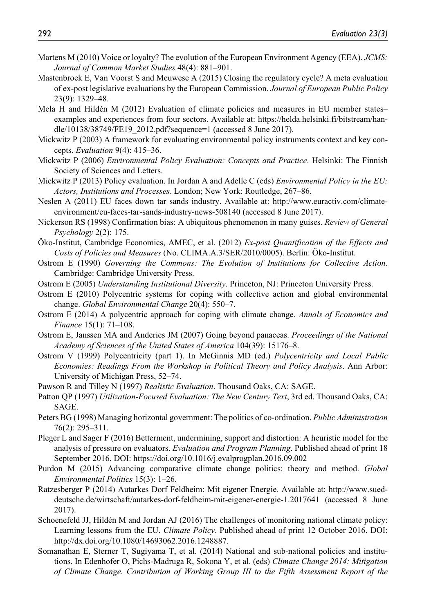- Martens M (2010) Voice or loyalty? The evolution of the European Environment Agency (EEA). *JCMS: Journal of Common Market Studies* 48(4): 881–901.
- Mastenbroek E, Van Voorst S and Meuwese A (2015) Closing the regulatory cycle? A meta evaluation of ex-post legislative evaluations by the European Commission. *Journal of European Public Policy* 23(9): 1329–48.
- Mela H and Hildén M (2012) Evaluation of climate policies and measures in EU member states– examples and experiences from four sectors. Available at: [https://helda.helsinki.fi/bitstream/han](https://helda.helsinki.fi/bitstream/handle/10138/38749/FE19_2012.pdf?sequence=1)[dle/10138/38749/FE19\\_2012.pdf?sequence=1](https://helda.helsinki.fi/bitstream/handle/10138/38749/FE19_2012.pdf?sequence=1) (accessed 8 June 2017).
- Mickwitz P (2003) A framework for evaluating environmental policy instruments context and key concepts. *Evaluation* 9(4): 415–36.
- Mickwitz P (2006) *Environmental Policy Evaluation: Concepts and Practice*. Helsinki: The Finnish Society of Sciences and Letters.
- Mickwitz P (2013) Policy evaluation. In Jordan A and Adelle C (eds) *Environmental Policy in the EU: Actors, Institutions and Processes*. London; New York: Routledge, 267–86.
- Neslen A (2011) EU faces down tar sands industry. Available at: [http://www.euractiv.com/climate](http://www.euractiv.com/climate-environment/eu-faces-tar-sands-industry-news-508140)[environment/eu-faces-tar-sands-industry-news-508140](http://www.euractiv.com/climate-environment/eu-faces-tar-sands-industry-news-508140) (accessed 8 June 2017).
- Nickerson RS (1998) Confirmation bias: A ubiquitous phenomenon in many guises. *Review of General Psychology* 2(2): 175.
- Öko-Institut, Cambridge Economics, AMEC, et al. (2012) *Ex-post Quantification of the Effects and Costs of Policies and Measures* (No. CLIMA.A.3/SER/2010/0005). Berlin: Öko-Institut.
- Ostrom E (1990) *Governing the Commons: The Evolution of Institutions for Collective Action*. Cambridge: Cambridge University Press.
- Ostrom E (2005) *Understanding Institutional Diversity*. Princeton, NJ: Princeton University Press.
- Ostrom E (2010) Polycentric systems for coping with collective action and global environmental change. *Global Environmental Change* 20(4): 550–7.
- Ostrom E (2014) A polycentric approach for coping with climate change. *Annals of Economics and Finance* 15(1): 71–108.
- Ostrom E, Janssen MA and Anderies JM (2007) Going beyond panaceas. *Proceedings of the National Academy of Sciences of the United States of America* 104(39): 15176–8.
- Ostrom V (1999) Polycentricity (part 1). In McGinnis MD (ed.) *Polycentricity and Local Public Economies: Readings From the Workshop in Political Theory and Policy Analysis*. Ann Arbor: University of Michigan Press, 52–74.
- Pawson R and Tilley N (1997) *Realistic Evaluation*. Thousand Oaks, CA: SAGE.
- Patton QP (1997) *Utilization-Focused Evaluation: The New Century Text*, 3rd ed. Thousand Oaks, CA: SAGE.
- Peters BG (1998) Managing horizontal government: The politics of co-ordination. *Public Administration* 76(2): 295–311.
- Pleger L and Sager F (2016) Betterment, undermining, support and distortion: A heuristic model for the analysis of pressure on evaluators. *Evaluation and Program Planning*. Published ahead of print 18 September 2016. DOI:<https://doi.org/10.1016/j.evalprogplan.2016.09.002>
- Purdon M (2015) Advancing comparative climate change politics: theory and method. *Global Environmental Politics* 15(3): 1–26.
- Ratzesberger P (2014) Autarkes Dorf Feldheim: Mit eigener Energie. Available at: [http://www.sued](http://www.sueddeutsche.de/wirtschaft/autarkes-dorf-feldheim-mit-eigener-energie-1.2017641)[deutsche.de/wirtschaft/autarkes-dorf-feldheim-mit-eigener-energie-1.2017641](http://www.sueddeutsche.de/wirtschaft/autarkes-dorf-feldheim-mit-eigener-energie-1.2017641) (accessed 8 June 2017).
- Schoenefeld JJ, Hildén M and Jordan AJ (2016) The challenges of monitoring national climate policy: Learning lessons from the EU. *Climate Policy*. Published ahead of print 12 October 2016. DOI: <http://dx.doi.org/10.1080/14693062.2016.1248887>.
- Somanathan E, Sterner T, Sugiyama T, et al. (2014) National and sub-national policies and institutions. In Edenhofer O, Pichs-Madruga R, Sokona Y, et al. (eds) *Climate Change 2014: Mitigation of Climate Change. Contribution of Working Group III to the Fifth Assessment Report of the*